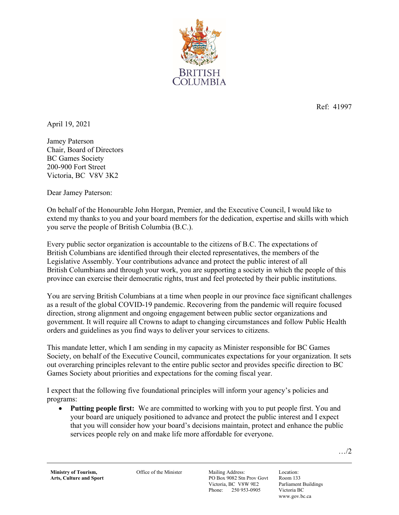

Ref: 41997

April 19, 2021

Jamey Paterson Chair, Board of Directors BC Games Society 200-900 Fort Street Victoria, BC V8V 3K2

Dear Jamey Paterson:

On behalf of the Honourable John Horgan, Premier, and the Executive Council, I would like to extend my thanks to you and your board members for the dedication, expertise and skills with which you serve the people of British Columbia (B.C.).

Every public sector organization is accountable to the citizens of B.C. The expectations of British Columbians are identified through their elected representatives, the members of the Legislative Assembly. Your contributions advance and protect the public interest of all British Columbians and through your work, you are supporting a society in which the people of this province can exercise their democratic rights, trust and feel protected by their public institutions.

You are serving British Columbians at a time when people in our province face significant challenges as a result of the global COVID-19 pandemic. Recovering from the pandemic will require focused direction, strong alignment and ongoing engagement between public sector organizations and government. It will require all Crowns to adapt to changing circumstances and follow Public Health orders and guidelines as you find ways to deliver your services to citizens.

This mandate letter, which I am sending in my capacity as Minister responsible for BC Games Society, on behalf of the Executive Council, communicates expectations for your organization. It sets out overarching principles relevant to the entire public sector and provides specific direction to BC Games Society about priorities and expectations for the coming fiscal year.

I expect that the following five foundational principles will inform your agency's policies and programs:

 **Putting people first:** We are committed to working with you to put people first. You and your board are uniquely positioned to advance and protect the public interest and I expect that you will consider how your board's decisions maintain, protect and enhance the public services people rely on and make life more affordable for everyone.

…/2

Office of the Minister Mailing Address:

PO Box 9082 Stn Prov Govt Victoria, BC V8W 9E2 Phone: 250 953-0905

Location: Room 133 Parliament Buildings Victoria BC www.gov.bc.ca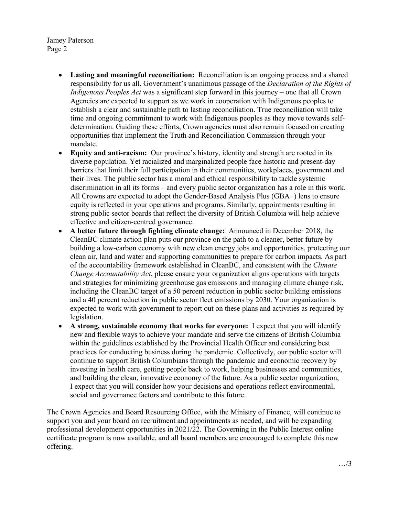Jamey Paterson Page 2

- **Lasting and meaningful reconciliation:** Reconciliation is an ongoing process and a shared responsibility for us all. Government's unanimous passage of the *Declaration of the Rights of Indigenous Peoples Act* was a significant step forward in this journey – one that all Crown Agencies are expected to support as we work in cooperation with Indigenous peoples to establish a clear and sustainable path to lasting reconciliation. True reconciliation will take time and ongoing commitment to work with Indigenous peoples as they move towards selfdetermination. Guiding these efforts, Crown agencies must also remain focused on creating opportunities that implement the Truth and Reconciliation Commission through your mandate.
- **Equity and anti-racism:** Our province's history, identity and strength are rooted in its diverse population. Yet racialized and marginalized people face historic and present-day barriers that limit their full participation in their communities, workplaces, government and their lives. The public sector has a moral and ethical responsibility to tackle systemic discrimination in all its forms – and every public sector organization has a role in this work. All Crowns are expected to adopt the Gender-Based Analysis Plus (GBA+) lens to ensure equity is reflected in your operations and programs. Similarly, appointments resulting in strong public sector boards that reflect the diversity of British Columbia will help achieve effective and citizen-centred governance.
- **A better future through fighting climate change:** Announced in December 2018, the CleanBC climate action plan puts our province on the path to a cleaner, better future by building a low-carbon economy with new clean energy jobs and opportunities, protecting our clean air, land and water and supporting communities to prepare for carbon impacts. As part of the accountability framework established in CleanBC, and consistent with the *Climate Change Accountability Act*, please ensure your organization aligns operations with targets and strategies for minimizing greenhouse gas emissions and managing climate change risk, including the CleanBC target of a 50 percent reduction in public sector building emissions and a 40 percent reduction in public sector fleet emissions by 2030. Your organization is expected to work with government to report out on these plans and activities as required by legislation.
- **A strong, sustainable economy that works for everyone:** I expect that you will identify new and flexible ways to achieve your mandate and serve the citizens of British Columbia within the guidelines established by the Provincial Health Officer and considering best practices for conducting business during the pandemic. Collectively, our public sector will continue to support British Columbians through the pandemic and economic recovery by investing in health care, getting people back to work, helping businesses and communities, and building the clean, innovative economy of the future. As a public sector organization, I expect that you will consider how your decisions and operations reflect environmental, social and governance factors and contribute to this future.

The Crown Agencies and Board Resourcing Office, with the Ministry of Finance, will continue to support you and your board on recruitment and appointments as needed, and will be expanding professional development opportunities in 2021/22. The Governing in the Public Interest online certificate program is now available, and all board members are encouraged to complete this new offering.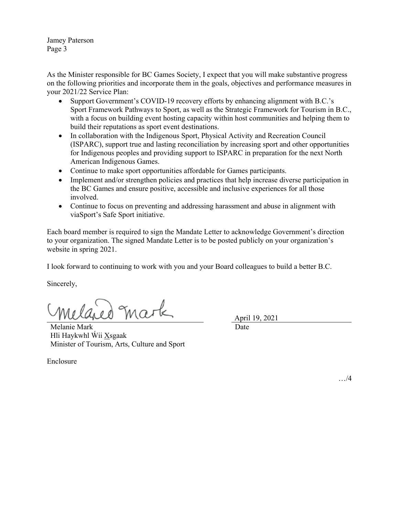Jamey Paterson Page 3

As the Minister responsible for BC Games Society, I expect that you will make substantive progress on the following priorities and incorporate them in the goals, objectives and performance measures in your 2021/22 Service Plan:

- Support Government's COVID-19 recovery efforts by enhancing alignment with B.C.'s Sport Framework Pathways to Sport, as well as the Strategic Framework for Tourism in B.C., with a focus on building event hosting capacity within host communities and helping them to build their reputations as sport event destinations.
- In collaboration with the Indigenous Sport, Physical Activity and Recreation Council (ISPARC), support true and lasting reconciliation by increasing sport and other opportunities for Indigenous peoples and providing support to ISPARC in preparation for the next North American Indigenous Games.
- Continue to make sport opportunities affordable for Games participants.
- Implement and/or strengthen policies and practices that help increase diverse participation in the BC Games and ensure positive, accessible and inclusive experiences for all those involved.
- Continue to focus on preventing and addressing harassment and abuse in alignment with viaSport's Safe Sport initiative.

Each board member is required to sign the Mandate Letter to acknowledge Government's direction to your organization. The signed Mandate Letter is to be posted publicly on your organization's website in spring 2021.

I look forward to continuing to work with you and your Board colleagues to build a better B.C.

Sincerely,

mark

Melanie Mark Hli Haykwhl Wii Xsgaak Minister of Tourism, Arts, Culture and Sport April 19, 2021

Date

Enclosure

…/4